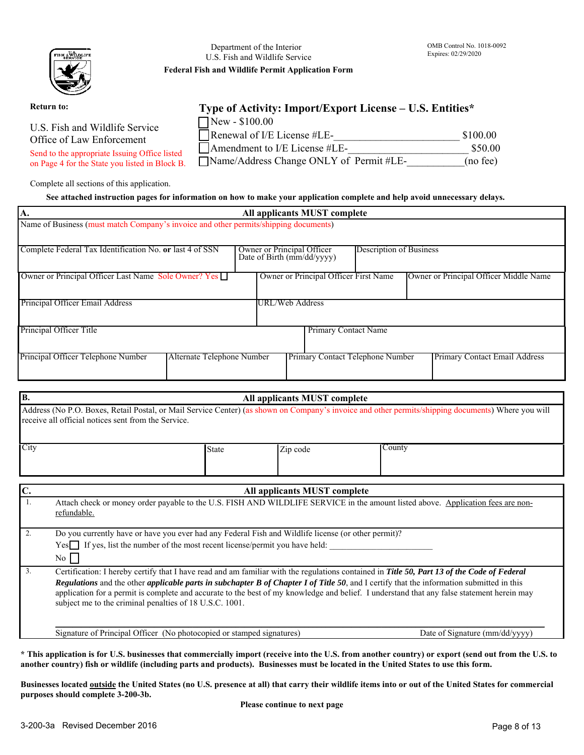

Department of the Interior U.S. Fish and Wildlife Service **Federal Fish and Wildlife Permit Application Form** 

#### **Return to:**

U.S. Fish and Wildlife Service Office of Law Enforcement

Send to the appropriate Issuing Office listed on Page 4 for the State you listed in Block B.

Complete all sections of this application.

# **Type of Activity: Import/Export License – U.S. Entities\***

| $\Box$ New - \$100.00                    |          |
|------------------------------------------|----------|
| Renewal of I/E License $\#LE$ -          | \$100.00 |
| $\Box$ Amendment to I/E License #LE-     | \$50.00  |
| □Name/Address Change ONLY of Permit #LE- | (no fee) |

#### **See attached instruction pages for information on how to make your application complete and help avoid unnecessary delays.**

| А.                                                                                   | All applicants MUST complete                                                               |
|--------------------------------------------------------------------------------------|--------------------------------------------------------------------------------------------|
| Name of Business (must match Company's invoice and other permits/shipping documents) |                                                                                            |
|                                                                                      |                                                                                            |
| Complete Federal Tax Identification No. or last 4 of SSN                             | <b>Description of Business</b><br>Owner or Principal Officer<br>Date of Birth (mm/dd/yyyy) |
| Owner or Principal Officer Last Name Sole Owner? Yes                                 | Owner or Principal Officer First Name<br>Owner or Principal Officer Middle Name            |
| Principal Officer Email Address                                                      | URL/Web Address                                                                            |
| Principal Officer Title                                                              | <b>Primary Contact Name</b>                                                                |
| Principal Officer Telephone Number<br>Alternate Telephone Number                     | Primary Contact Telephone Number<br>Primary Contact Email Address                          |

| B.             |                                                                                                                                                                                                                                                                                                                                                                                                                                                                                                                  | All applicants MUST complete |                                |
|----------------|------------------------------------------------------------------------------------------------------------------------------------------------------------------------------------------------------------------------------------------------------------------------------------------------------------------------------------------------------------------------------------------------------------------------------------------------------------------------------------------------------------------|------------------------------|--------------------------------|
|                | Address (No P.O. Boxes, Retail Postal, or Mail Service Center) (as shown on Company's invoice and other permits/shipping documents) Where you will<br>receive all official notices sent from the Service.                                                                                                                                                                                                                                                                                                        |                              |                                |
| City           | <b>State</b>                                                                                                                                                                                                                                                                                                                                                                                                                                                                                                     | Zip code                     | County                         |
| $\mathbf{C}$ . |                                                                                                                                                                                                                                                                                                                                                                                                                                                                                                                  | All applicants MUST complete |                                |
| 1.             | Attach check or money order payable to the U.S. FISH AND WILDLIFE SERVICE in the amount listed above. Application fees are non-<br>refundable.                                                                                                                                                                                                                                                                                                                                                                   |                              |                                |
| 2.             | Do you currently have or have you ever had any Federal Fish and Wildlife license (or other permit)?<br>Yes If yes, list the number of the most recent license/permit you have held:<br>No                                                                                                                                                                                                                                                                                                                        |                              |                                |
| 3.             | Certification: I hereby certify that I have read and am familiar with the regulations contained in Title 50, Part 13 of the Code of Federal<br><b>Regulations</b> and the other <i>applicable parts in subchapter B of Chapter I of Title 50</i> , and I certify that the information submitted in this<br>application for a permit is complete and accurate to the best of my knowledge and belief. I understand that any false statement herein may<br>subject me to the criminal penalties of 18 U.S.C. 1001. |                              |                                |
|                | Signature of Principal Officer (No photocopied or stamped signatures)                                                                                                                                                                                                                                                                                                                                                                                                                                            |                              | Date of Signature (mm/dd/yyyy) |

**\* This application is for U.S. businesses that commercially import (receive into the U.S. from another country) or export (send out from the U.S. to another country) fish or wildlife (including parts and products). Businesses must be located in the United States to use this form.**

**Businesses located outside the United States (no U.S. presence at all) that carry their wildlife items into or out of the United States for commercial purposes should complete 3-200-3b.** 

**Please continue to next page**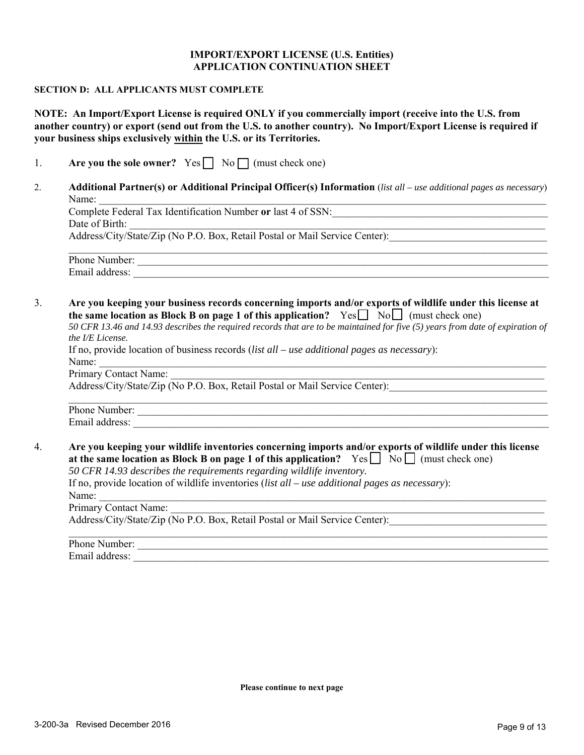## **IMPORT/EXPORT LICENSE (U.S. Entities) APPLICATION CONTINUATION SHEET**

#### **SECTION D: ALL APPLICANTS MUST COMPLETE**

**NOTE: An Import/Export License is required ONLY if you commercially import (receive into the U.S. from another country) or export (send out from the U.S. to another country). No Import/Export License is required if your business ships exclusively within the U.S. or its Territories.**

|  | Are you the sole owner? $Yes \Box No \Box (must check one)$ |  |  |  |
|--|-------------------------------------------------------------|--|--|--|
|--|-------------------------------------------------------------|--|--|--|

2. **Additional Partner(s) or Additional Principal Officer(s) Information** (*list all – use additional pages as necessary*) Name:

Complete Federal Tax Identification Number **or** last 4 of SSN: Date of Birth:

Address/City/State/Zip (No P.O. Box, Retail Postal or Mail Service Center):

| Phone Number:  |  |
|----------------|--|
| Email address: |  |

3. **Are you keeping your business records concerning imports and/or exports of wildlife under this license at the same location as Block B on page 1 of this application?**  $Yes \Box \ No \Box$  (must check one)

*50 CFR 13.46 and 14.93 describes the required records that are to be maintained for five (5) years from date of expiration of the I/E License.*

| If no, provide location of business records $(list \, all - use \, additional \, pages \, as \, necessary):$ |  |
|--------------------------------------------------------------------------------------------------------------|--|
| Name:                                                                                                        |  |
| Primary Contact Name:                                                                                        |  |
| Address/City/State/Zip (No P.O. Box, Retail Postal or Mail Service Center):                                  |  |

| Phone Number:  |  |
|----------------|--|
| Email address: |  |

4. **Are you keeping your wildlife inventories concerning imports and/or exports of wildlife under this license at the same location as Block B on page 1 of this application?**  $Yes \Box No \Box (must check one)$ 

*50 CFR 14.93 describes the requirements regarding wildlife inventory.*

If no, provide location of wildlife inventories (*list all – use additional pages as necessary*): Name: \_\_\_\_\_\_\_\_\_\_\_\_\_\_\_\_\_\_\_\_\_\_\_\_\_\_\_\_\_\_\_\_\_\_\_\_\_\_\_\_\_\_\_\_\_\_\_\_\_\_\_\_\_\_\_\_\_\_\_\_\_\_\_\_\_\_\_\_\_\_\_\_\_\_\_\_\_\_\_\_\_\_\_\_\_

Primary Contact Name: Address/City/State/Zip (No P.O. Box, Retail Postal or Mail Service Center):

| Phone<br>- 1- - - -<br>mnei |  |
|-----------------------------|--|
| Email<br>  address          |  |